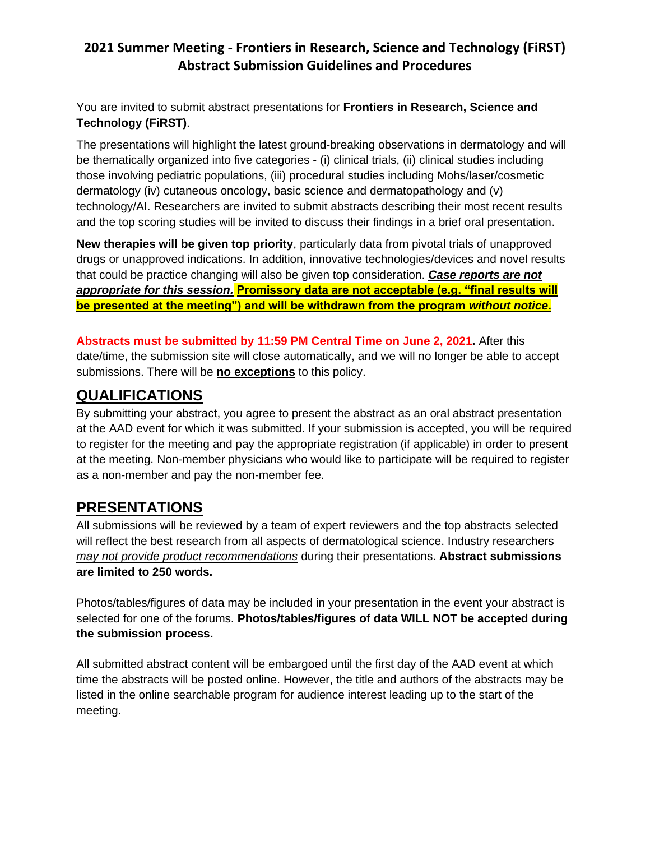#### **2021 Summer Meeting - Frontiers in Research, Science and Technology (FiRST) Abstract Submission Guidelines and Procedures**

You are invited to submit abstract presentations for **Frontiers in Research, Science and Technology (FiRST)**.

The presentations will highlight the latest ground-breaking observations in dermatology and will be thematically organized into five categories - (i) clinical trials, (ii) clinical studies including those involving pediatric populations, (iii) procedural studies including Mohs/laser/cosmetic dermatology (iv) cutaneous oncology, basic science and dermatopathology and (v) technology/AI. Researchers are invited to submit abstracts describing their most recent results and the top scoring studies will be invited to discuss their findings in a brief oral presentation.

**New therapies will be given top priority**, particularly data from pivotal trials of unapproved drugs or unapproved indications. In addition, innovative technologies/devices and novel results that could be practice changing will also be given top consideration. *Case reports are not appropriate for this session.* **Promissory data are not acceptable (e.g. "final results will be presented at the meeting") and will be withdrawn from the program** *without notice***.**

**Abstracts must be submitted by 11:59 PM Central Time on June 2, 2021.** After this date/time, the submission site will close automatically, and we will no longer be able to accept submissions. There will be **no exceptions** to this policy.

# **QUALIFICATIONS**

By submitting your abstract, you agree to present the abstract as an oral abstract presentation at the AAD event for which it was submitted. If your submission is accepted, you will be required to register for the meeting and pay the appropriate registration (if applicable) in order to present at the meeting. Non-member physicians who would like to participate will be required to register as a non-member and pay the non-member fee.

# **PRESENTATIONS**

All submissions will be reviewed by a team of expert reviewers and the top abstracts selected will reflect the best research from all aspects of dermatological science. Industry researchers *may not provide product recommendations* during their presentations. **Abstract submissions are limited to 250 words.**

Photos/tables/figures of data may be included in your presentation in the event your abstract is selected for one of the forums. **Photos/tables/figures of data WILL NOT be accepted during the submission process.**

All submitted abstract content will be embargoed until the first day of the AAD event at which time the abstracts will be posted online. However, the title and authors of the abstracts may be listed in the online searchable program for audience interest leading up to the start of the meeting.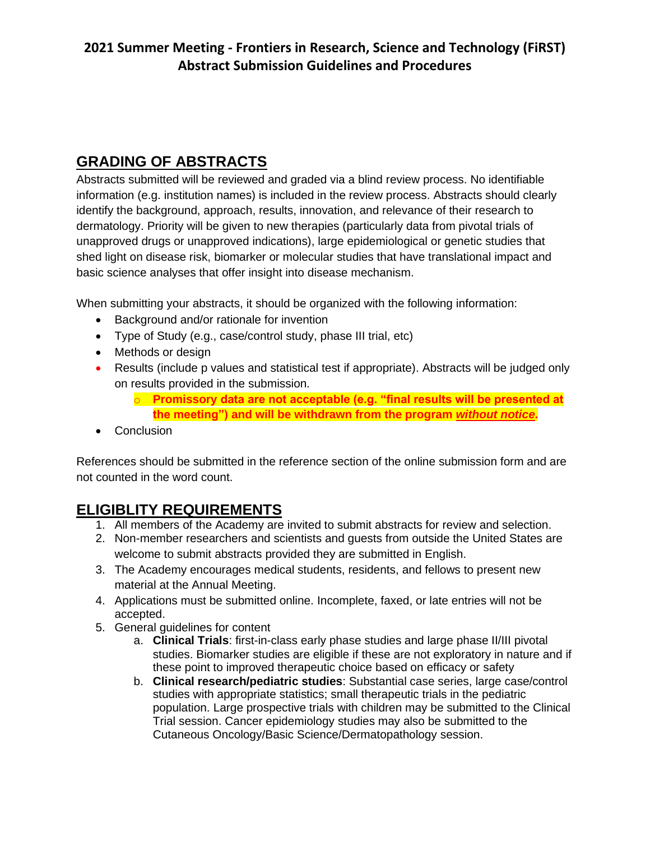# **GRADING OF ABSTRACTS**

Abstracts submitted will be reviewed and graded via a blind review process. No identifiable information (e.g. institution names) is included in the review process. Abstracts should clearly identify the background, approach, results, innovation, and relevance of their research to dermatology. Priority will be given to new therapies (particularly data from pivotal trials of unapproved drugs or unapproved indications), large epidemiological or genetic studies that shed light on disease risk, biomarker or molecular studies that have translational impact and basic science analyses that offer insight into disease mechanism.

When submitting your abstracts, it should be organized with the following information:

- Background and/or rationale for invention
- Type of Study (e.g., case/control study, phase III trial, etc)
- Methods or design
- Results (include p values and statistical test if appropriate). Abstracts will be judged only on results provided in the submission.
	- o **Promissory data are not acceptable (e.g. "final results will be presented at the meeting") and will be withdrawn from the program** *without notice***.**
- Conclusion

References should be submitted in the reference section of the online submission form and are not counted in the word count.

# **ELIGIBLITY REQUIREMENTS**

- 1. All members of the Academy are invited to submit abstracts for review and selection.
- 2. Non-member researchers and scientists and guests from outside the United States are welcome to submit abstracts provided they are submitted in English.
- 3. The Academy encourages medical students, residents, and fellows to present new material at the Annual Meeting.
- 4. Applications must be submitted online. Incomplete, faxed, or late entries will not be accepted.
- 5. General guidelines for content
	- a. **Clinical Trials**: first-in-class early phase studies and large phase II/III pivotal studies. Biomarker studies are eligible if these are not exploratory in nature and if these point to improved therapeutic choice based on efficacy or safety
	- b. **Clinical research/pediatric studies**: Substantial case series, large case/control studies with appropriate statistics; small therapeutic trials in the pediatric population. Large prospective trials with children may be submitted to the Clinical Trial session. Cancer epidemiology studies may also be submitted to the Cutaneous Oncology/Basic Science/Dermatopathology session.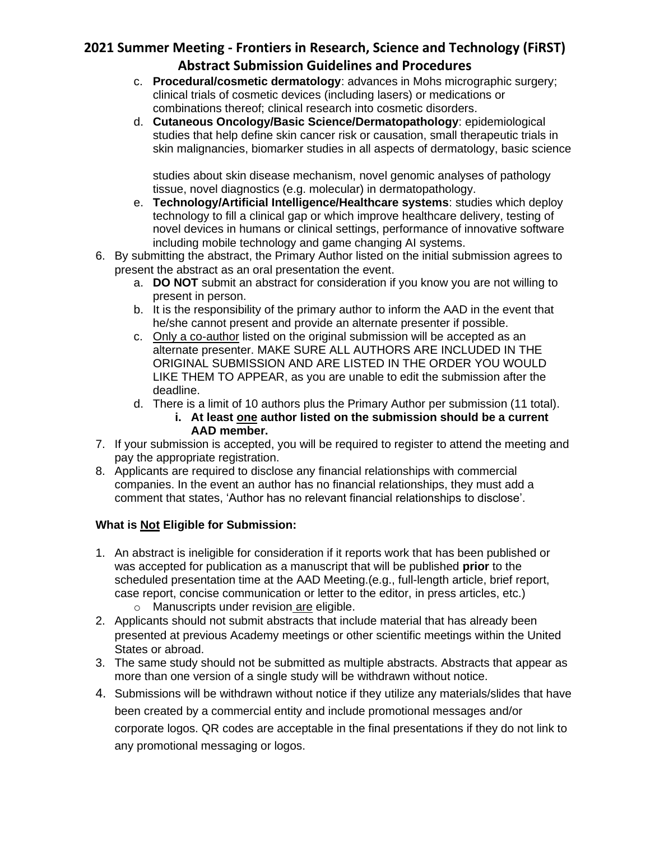# **2021 Summer Meeting - Frontiers in Research, Science and Technology (FiRST) Abstract Submission Guidelines and Procedures**

- c. **Procedural/cosmetic dermatology**: advances in Mohs micrographic surgery; clinical trials of cosmetic devices (including lasers) or medications or combinations thereof; clinical research into cosmetic disorders.
- d. **Cutaneous Oncology/Basic Science/Dermatopathology**: epidemiological studies that help define skin cancer risk or causation, small therapeutic trials in skin malignancies, biomarker studies in all aspects of dermatology, basic science

studies about skin disease mechanism, novel genomic analyses of pathology tissue, novel diagnostics (e.g. molecular) in dermatopathology.

- e. **Technology/Artificial Intelligence/Healthcare systems**: studies which deploy technology to fill a clinical gap or which improve healthcare delivery, testing of novel devices in humans or clinical settings, performance of innovative software including mobile technology and game changing AI systems.
- 6. By submitting the abstract, the Primary Author listed on the initial submission agrees to present the abstract as an oral presentation the event.
	- a. **DO NOT** submit an abstract for consideration if you know you are not willing to present in person.
	- b. It is the responsibility of the primary author to inform the AAD in the event that he/she cannot present and provide an alternate presenter if possible.
	- c. Only a co-author listed on the original submission will be accepted as an alternate presenter. MAKE SURE ALL AUTHORS ARE INCLUDED IN THE ORIGINAL SUBMISSION AND ARE LISTED IN THE ORDER YOU WOULD LIKE THEM TO APPEAR, as you are unable to edit the submission after the deadline.
	- d. There is a limit of 10 authors plus the Primary Author per submission (11 total). **i. At least one author listed on the submission should be a current AAD member.**
- 7. If your submission is accepted, you will be required to register to attend the meeting and pay the appropriate registration.
- 8. Applicants are required to disclose any financial relationships with commercial companies. In the event an author has no financial relationships, they must add a comment that states, 'Author has no relevant financial relationships to disclose'.

#### **What is Not Eligible for Submission:**

- 1. An abstract is ineligible for consideration if it reports work that has been published or was accepted for publication as a manuscript that will be published **prior** to the scheduled presentation time at the AAD Meeting.(e.g., full-length article, brief report, case report, concise communication or letter to the editor, in press articles, etc.) o Manuscripts under revision are eligible.
- 2. Applicants should not submit abstracts that include material that has already been presented at previous Academy meetings or other scientific meetings within the United States or abroad.
- 3. The same study should not be submitted as multiple abstracts. Abstracts that appear as more than one version of a single study will be withdrawn without notice.
- 4. Submissions will be withdrawn without notice if they utilize any materials/slides that have been created by a commercial entity and include promotional messages and/or corporate logos. QR codes are acceptable in the final presentations if they do not link to any promotional messaging or logos.